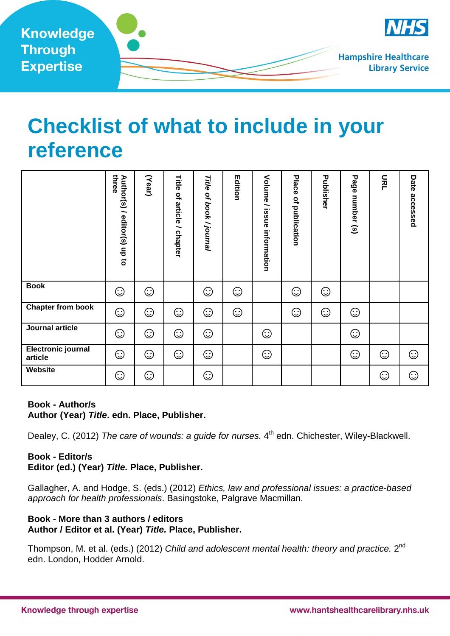

# **Checklist of what to include in your reference**

|                                                                                                                                                                                                                                                                                                                                                                                                                                                                                  | three<br>Author(s) / editor(s) up to | (Year)  | Title of article / chapter | Title of book / journal | Edition | Volume / issue information | Place of publication | Publisher | Page number (s) | 윤 | Date accessed |
|----------------------------------------------------------------------------------------------------------------------------------------------------------------------------------------------------------------------------------------------------------------------------------------------------------------------------------------------------------------------------------------------------------------------------------------------------------------------------------|--------------------------------------|---------|----------------------------|-------------------------|---------|----------------------------|----------------------|-----------|-----------------|---|---------------|
| <b>Book</b>                                                                                                                                                                                                                                                                                                                                                                                                                                                                      | ⊙                                    | ☺       |                            | ☺                       | ☺       |                            | ☺                    | ☺         |                 |   |               |
| <b>Chapter from book</b>                                                                                                                                                                                                                                                                                                                                                                                                                                                         | $\odot$                              | $\odot$ | ☺                          | $\odot$                 | $\odot$ |                            | ☺                    | ☺         | $\odot$         |   |               |
| <b>Journal article</b>                                                                                                                                                                                                                                                                                                                                                                                                                                                           | $\odot$                              | ☺       | $\odot$                    | $\odot$                 |         | ☺                          |                      |           | $\odot$         |   |               |
| <b>Electronic journal</b><br>article                                                                                                                                                                                                                                                                                                                                                                                                                                             | ☺                                    | $\odot$ | ⊙                          | ☺                       |         | ⊙                          |                      |           | $\odot$         | ☺ | ☺             |
| Website                                                                                                                                                                                                                                                                                                                                                                                                                                                                          | $\odot$                              | ⊙       |                            | ☺                       |         |                            |                      |           |                 | ☺ | ☺             |
| <b>Book - Author/s</b><br>Author (Year) Title. edn. Place, Publisher.<br>Dealey, C. (2012) The care of wounds: a guide for nurses. 4 <sup>th</sup> edn. Chichester, Wiley-Blackwell.<br><b>Book - Editor/s</b><br>Editor (ed.) (Year) Title. Place, Publisher.<br>Gallagher, A. and Hodge, S. (eds.) (2012) Ethics, law and professional issues: a practice-based<br>approach for health professionals. Basingstoke, Palgrave Macmillan.<br>Book - More than 3 authors / editors |                                      |         |                            |                         |         |                            |                      |           |                 |   |               |
| Author / Editor et al. (Year) Title. Place, Publisher.                                                                                                                                                                                                                                                                                                                                                                                                                           |                                      |         |                            |                         |         |                            |                      |           |                 |   |               |
| Thompson, M. et al. (eds.) (2012) Child and adolescent mental health: theory and practice. 2 <sup>nd</sup><br>edn. London, Hodder Arnold.                                                                                                                                                                                                                                                                                                                                        |                                      |         |                            |                         |         |                            |                      |           |                 |   |               |

#### **Book - Author/s Author (Year) Title. edn. Place, Publisher.**

## **Book - Editor/s Editor (ed.) (Year) Title. Place, Publisher.**

## **Book - More than 3 authors / editors Author / Editor et al. (Year) Title. Place, Publisher.**